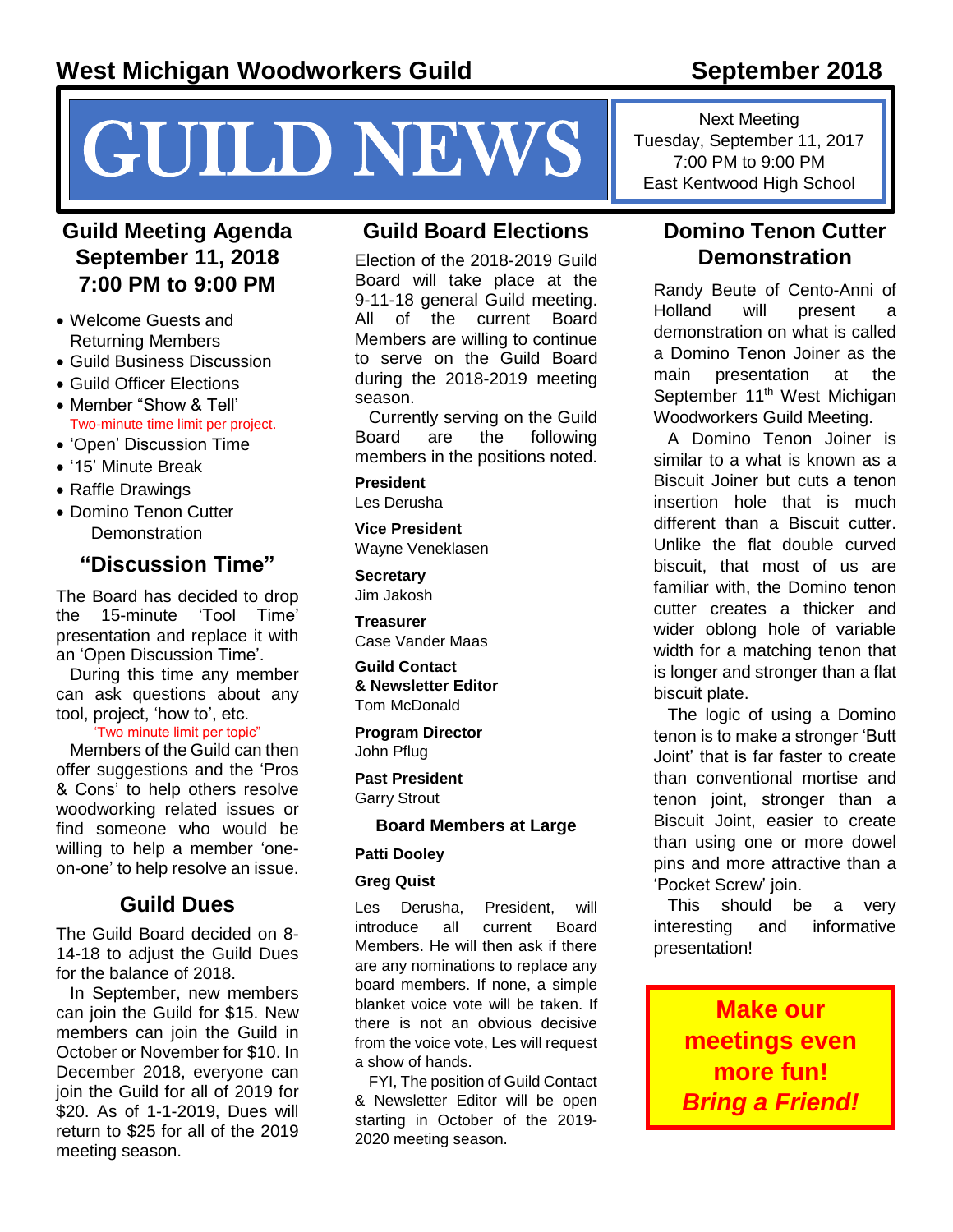# NEWS Tuesday, September 11, 2017<br>
T.00 PM to 9:00 PM Guide High School

# **Guild Meeting Agenda September 11, 2018 7:00 PM to 9:00 PM**

- Welcome Guests and Returning Members
- Guild Business Discussion
- Guild Officer Elections
- Member "Show & Tell' Two-minute time limit per project.
- 'Open' Discussion Time
- '15' Minute Break
- Raffle Drawings
- Domino Tenon Cutter **Demonstration**

# **"Discussion Time"**

The Board has decided to drop the 15-minute 'Tool Time' presentation and replace it with an 'Open Discussion Time'.

During this time any member can ask questions about any tool, project, 'how to', etc.

#### 'Two minute limit per topic"

Members of the Guild can then offer suggestions and the 'Pros & Cons' to help others resolve woodworking related issues or find someone who would be willing to help a member 'oneon-one' to help resolve an issue.

# **Guild Dues**

The Guild Board decided on 8- 14-18 to adjust the Guild Dues for the balance of 2018.

In September, new members can join the Guild for \$15. New members can join the Guild in October or November for \$10. In December 2018, everyone can join the Guild for all of 2019 for \$20. As of 1-1-2019, Dues will return to \$25 for all of the 2019 meeting season.

## **Guild Board Elections**

Election of the 2018-2019 Guild Board will take place at the 9-11-18 general Guild meeting. All of the current Board Members are willing to continue to serve on the Guild Board during the 2018-2019 meeting season.

Currently serving on the Guild Board are the following members in the positions noted.

**President**

Les Derusha

**Vice President** Wayne Veneklasen

**Secretary** Jim Jakosh

**Treasurer** Case Vander Maas

**Guild Contact & Newsletter Editor** Tom McDonald

**Program Director** John Pflug

**Past President** Garry Strout

#### **Board Members at Large**

#### **Patti Dooley**

#### **Greg Quist**

Les Derusha, President, will introduce all current Board Members. He will then ask if there are any nominations to replace any board members. If none, a simple blanket voice vote will be taken. If there is not an obvious decisive from the voice vote, Les will request a show of hands.

FYI, The position of Guild Contact & Newsletter Editor will be open starting in October of the 2019- 2020 meeting season.

Next Meeting Tuesday, September 11, 2017

# **Domino Tenon Cutter Demonstration**

Randy Beute of Cento-Anni of Holland will present a demonstration on what is called a Domino Tenon Joiner as the main presentation at the September 11<sup>th</sup> West Michigan Woodworkers Guild Meeting.

A Domino Tenon Joiner is similar to a what is known as a Biscuit Joiner but cuts a tenon insertion hole that is much different than a Biscuit cutter. Unlike the flat double curved biscuit, that most of us are familiar with, the Domino tenon cutter creates a thicker and wider oblong hole of variable width for a matching tenon that is longer and stronger than a flat biscuit plate.

The logic of using a Domino tenon is to make a stronger 'Butt Joint' that is far faster to create than conventional mortise and tenon joint, stronger than a Biscuit Joint, easier to create than using one or more dowel pins and more attractive than a 'Pocket Screw' join.

This should be a very interesting and informative presentation!

> **Make our meetings even more fun!**  *Bring a Friend!*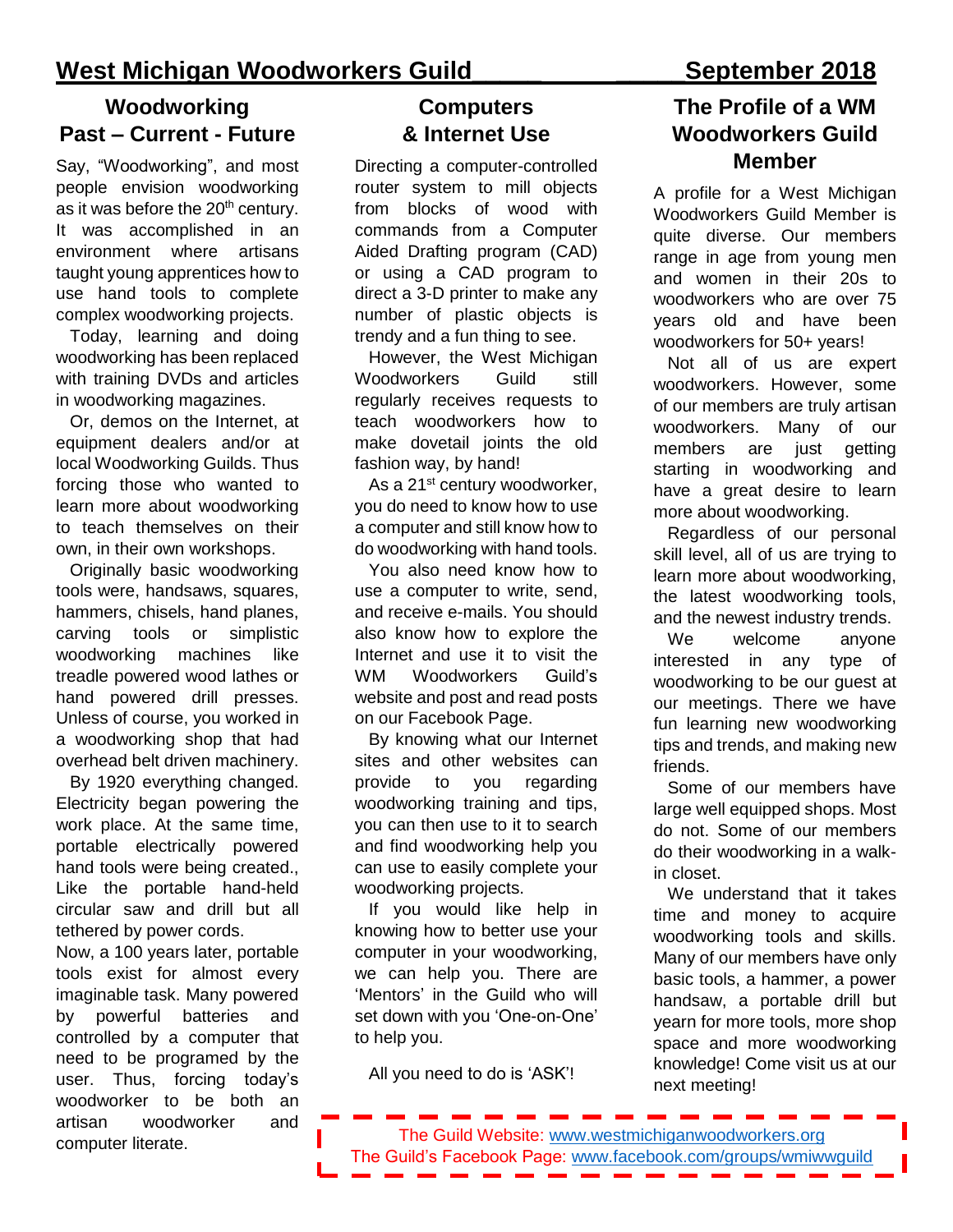# **Woodworking Past – Current - Future**

Say, "Woodworking", and most people envision woodworking as it was before the  $20<sup>th</sup>$  century. It was accomplished in an environment where artisans taught young apprentices how to use hand tools to complete complex woodworking projects.

Today, learning and doing woodworking has been replaced with training DVDs and articles in woodworking magazines.

Or, demos on the Internet, at equipment dealers and/or at local Woodworking Guilds. Thus forcing those who wanted to learn more about woodworking to teach themselves on their own, in their own workshops.

Originally basic woodworking tools were, handsaws, squares, hammers, chisels, hand planes, carving tools or simplistic woodworking machines like treadle powered wood lathes or hand powered drill presses. Unless of course, you worked in a woodworking shop that had overhead belt driven machinery.

By 1920 everything changed. Electricity began powering the work place. At the same time, portable electrically powered hand tools were being created., Like the portable hand-held circular saw and drill but all tethered by power cords.

Now, a 100 years later, portable tools exist for almost every imaginable task. Many powered by powerful batteries and controlled by a computer that need to be programed by the user. Thus, forcing today's woodworker to be both an artisan woodworker and computer literate.

# **Computers & Internet Use**

Directing a computer-controlled router system to mill objects from blocks of wood with commands from a Computer Aided Drafting program (CAD) or using a CAD program to direct a 3-D printer to make any number of plastic objects is trendy and a fun thing to see.

However, the West Michigan Woodworkers Guild still regularly receives requests to teach woodworkers how to make dovetail joints the old fashion way, by hand!

As a 21<sup>st</sup> century woodworker, you do need to know how to use a computer and still know how to do woodworking with hand tools.

You also need know how to use a computer to write, send, and receive e-mails. You should also know how to explore the Internet and use it to visit the WM Woodworkers Guild's website and post and read posts on our Facebook Page.

By knowing what our Internet sites and other websites can provide to you regarding woodworking training and tips, you can then use to it to search and find woodworking help you can use to easily complete your woodworking projects.

If you would like help in knowing how to better use your computer in your woodworking, we can help you. There are 'Mentors' in the Guild who will set down with you 'One-on-One' to help you.

All you need to do is 'ASK'!

# **The Profile of a WM Woodworkers Guild Member**

A profile for a West Michigan Woodworkers Guild Member is quite diverse. Our members range in age from young men and women in their 20s to woodworkers who are over 75 years old and have been woodworkers for 50+ years!

Not all of us are expert woodworkers. However, some of our members are truly artisan woodworkers. Many of our members are just getting starting in woodworking and have a great desire to learn more about woodworking.

Regardless of our personal skill level, all of us are trying to learn more about woodworking, the latest woodworking tools, and the newest industry trends.

We welcome anyone interested in any type of woodworking to be our guest at our meetings. There we have fun learning new woodworking tips and trends, and making new friends.

Some of our members have large well equipped shops. Most do not. Some of our members do their woodworking in a walkin closet.

We understand that it takes time and money to acquire woodworking tools and skills. Many of our members have only basic tools, a hammer, a power handsaw, a portable drill but yearn for more tools, more shop space and more woodworking knowledge! Come visit us at our next meeting!

The Guild Website:<www.westmichiganwoodworkers.org> The Guild's Facebook Page:<www.facebook.com/groups/wmiwwguild>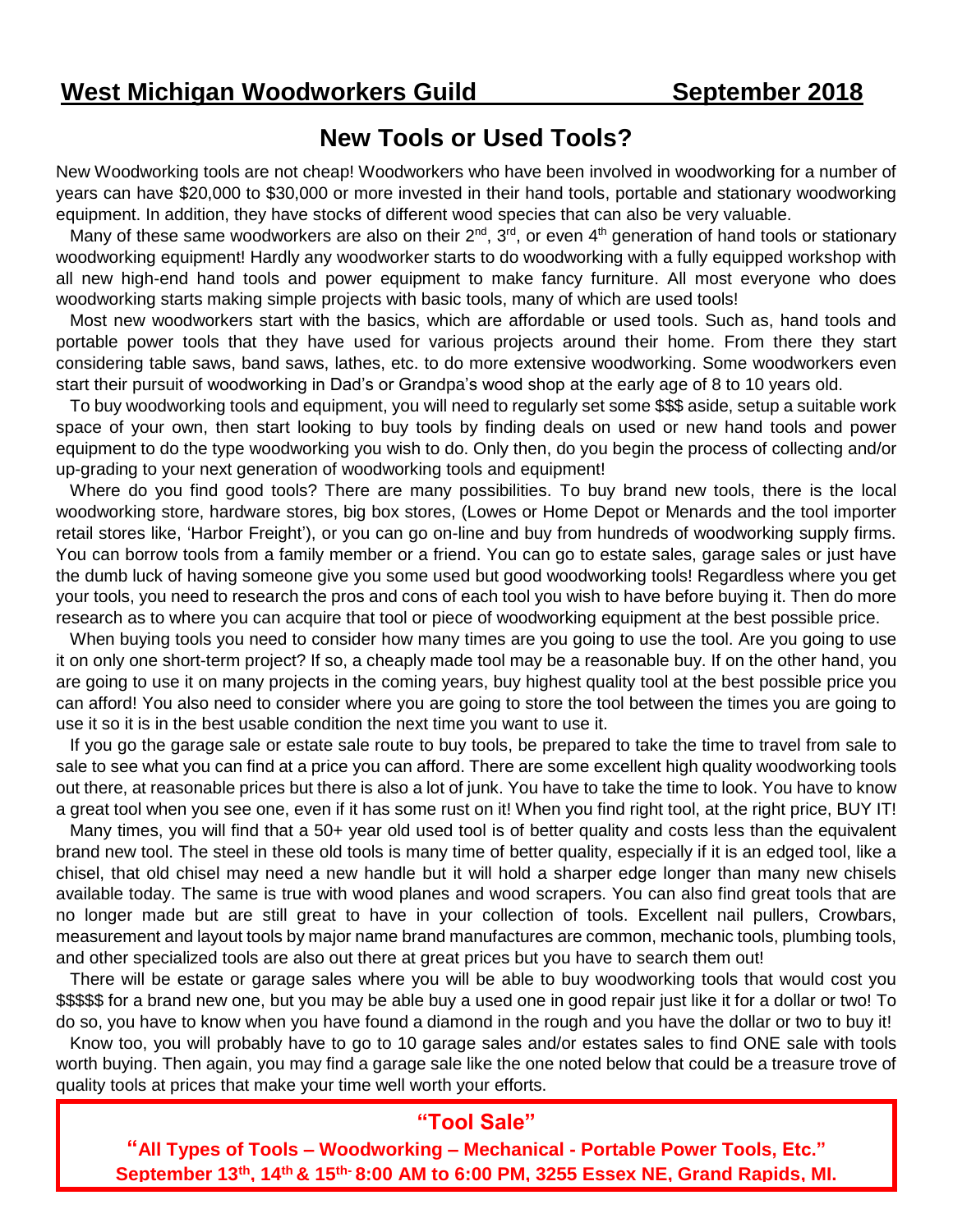# **New Tools or Used Tools?**

New Woodworking tools are not cheap! Woodworkers who have been involved in woodworking for a number of years can have \$20,000 to \$30,000 or more invested in their hand tools, portable and stationary woodworking equipment. In addition, they have stocks of different wood species that can also be very valuable.

Many of these same woodworkers are also on their 2<sup>nd</sup>, 3<sup>rd</sup>, or even 4<sup>th</sup> generation of hand tools or stationary woodworking equipment! Hardly any woodworker starts to do woodworking with a fully equipped workshop with all new high-end hand tools and power equipment to make fancy furniture. All most everyone who does woodworking starts making simple projects with basic tools, many of which are used tools!

Most new woodworkers start with the basics, which are affordable or used tools. Such as, hand tools and portable power tools that they have used for various projects around their home. From there they start considering table saws, band saws, lathes, etc. to do more extensive woodworking. Some woodworkers even start their pursuit of woodworking in Dad's or Grandpa's wood shop at the early age of 8 to 10 years old.

To buy woodworking tools and equipment, you will need to regularly set some \$\$\$ aside, setup a suitable work space of your own, then start looking to buy tools by finding deals on used or new hand tools and power equipment to do the type woodworking you wish to do. Only then, do you begin the process of collecting and/or up-grading to your next generation of woodworking tools and equipment!

Where do you find good tools? There are many possibilities. To buy brand new tools, there is the local woodworking store, hardware stores, big box stores, (Lowes or Home Depot or Menards and the tool importer retail stores like, 'Harbor Freight'), or you can go on-line and buy from hundreds of woodworking supply firms. You can borrow tools from a family member or a friend. You can go to estate sales, garage sales or just have the dumb luck of having someone give you some used but good woodworking tools! Regardless where you get your tools, you need to research the pros and cons of each tool you wish to have before buying it. Then do more research as to where you can acquire that tool or piece of woodworking equipment at the best possible price.

When buying tools you need to consider how many times are you going to use the tool. Are you going to use it on only one short-term project? If so, a cheaply made tool may be a reasonable buy. If on the other hand, you are going to use it on many projects in the coming years, buy highest quality tool at the best possible price you can afford! You also need to consider where you are going to store the tool between the times you are going to use it so it is in the best usable condition the next time you want to use it.

If you go the garage sale or estate sale route to buy tools, be prepared to take the time to travel from sale to sale to see what you can find at a price you can afford. There are some excellent high quality woodworking tools out there, at reasonable prices but there is also a lot of junk. You have to take the time to look. You have to know a great tool when you see one, even if it has some rust on it! When you find right tool, at the right price, BUY IT!

Many times, you will find that a 50+ year old used tool is of better quality and costs less than the equivalent brand new tool. The steel in these old tools is many time of better quality, especially if it is an edged tool, like a chisel, that old chisel may need a new handle but it will hold a sharper edge longer than many new chisels available today. The same is true with wood planes and wood scrapers. You can also find great tools that are no longer made but are still great to have in your collection of tools. Excellent nail pullers, Crowbars, measurement and layout tools by major name brand manufactures are common, mechanic tools, plumbing tools, and other specialized tools are also out there at great prices but you have to search them out!

There will be estate or garage sales where you will be able to buy woodworking tools that would cost you \$\$\$\$\$ for a brand new one, but you may be able buy a used one in good repair just like it for a dollar or two! To do so, you have to know when you have found a diamond in the rough and you have the dollar or two to buy it!

Know too, you will probably have to go to 10 garage sales and/or estates sales to find ONE sale with tools worth buying. Then again, you may find a garage sale like the one noted below that could be a treasure trove of quality tools at prices that make your time well worth your efforts.

# **"Tool Sale"**

**"All Types of Tools – Woodworking – Mechanical - Portable Power Tools, Etc." September 13th, 14th & 15th- 8:00 AM to 6:00 PM, 3255 Essex NE, Grand Rapids, MI.**